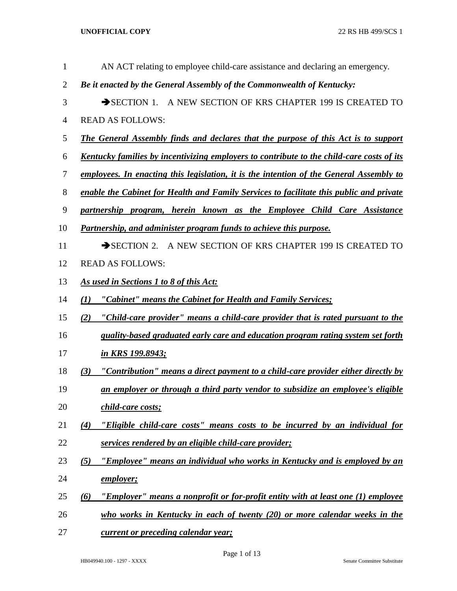| 1              | AN ACT relating to employee child-care assistance and declaring an emergency.                    |
|----------------|--------------------------------------------------------------------------------------------------|
| $\overline{2}$ | Be it enacted by the General Assembly of the Commonwealth of Kentucky:                           |
| 3              | SECTION 1. A NEW SECTION OF KRS CHAPTER 199 IS CREATED TO                                        |
| 4              | <b>READ AS FOLLOWS:</b>                                                                          |
| 5              | <b>The General Assembly finds and declares that the purpose of this Act is to support</b>        |
| 6              | <u>Kentucky families by incentivizing employers to contribute to the child-care costs of its</u> |
| 7              | employees. In enacting this legislation, it is the intention of the General Assembly to          |
| $8\,$          | enable the Cabinet for Health and Family Services to facilitate this public and private          |
| 9              | partnership program, herein known as the Employee Child Care Assistance                          |
| 10             | <b>Partnership, and administer program funds to achieve this purpose.</b>                        |
| 11             | SECTION 2. A NEW SECTION OF KRS CHAPTER 199 IS CREATED TO                                        |
| 12             | <b>READ AS FOLLOWS:</b>                                                                          |
| 13             | As used in Sections 1 to 8 of this Act:                                                          |
| 14             | "Cabinet" means the Cabinet for Health and Family Services;<br>(1)                               |
| 15             | "Child-care provider" means a child-care provider that is rated pursuant to the<br>(2)           |
| 16             | quality-based graduated early care and education program rating system set forth                 |
| 17             | in KRS 199.8943;                                                                                 |
| 18             | "Contribution" means a direct payment to a child-care provider either directly by<br>(3)         |
| 19             | an employer or through a third party vendor to subsidize an employee's eligible                  |
| 20             | child-care costs;                                                                                |
| 21             | "Eligible child-care costs" means costs to be incurred by an individual for<br>(4)               |
| 22             | services rendered by an eligible child-care provider;                                            |
| 23             | "Employee" means an individual who works in Kentucky and is employed by an<br>(5)                |
| 24             | employer;                                                                                        |
| 25             | "Employer" means a nonprofit or for-profit entity with at least one (1) employee<br>$\omega$     |
| 26             | who works in Kentucky in each of twenty $(20)$ or more calendar weeks in the                     |
| 27             | current or preceding calendar year;                                                              |

Page 1 of 13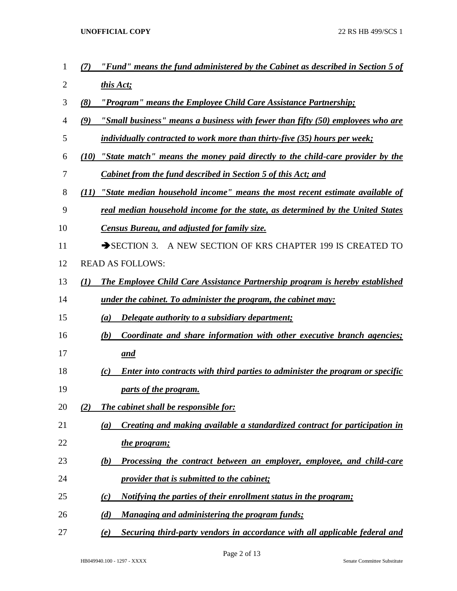- *(7) "Fund" means the fund administered by the Cabinet as described in Section 5 of this Act;*
- *(8) "Program" means the Employee Child Care Assistance Partnership;*
- *(9) "Small business" means a business with fewer than fifty (50) employees who are*
- *individually contracted to work more than thirty-five (35) hours per week;*
- *(10) "State match" means the money paid directly to the child-care provider by the Cabinet from the fund described in Section 5 of this Act; and*
- *(11) "State median household income" means the most recent estimate available of*
- *real median household income for the state, as determined by the United States*
- *Census Bureau, and adjusted for family size.*
- 11 SECTION 3. A NEW SECTION OF KRS CHAPTER 199 IS CREATED TO
- READ AS FOLLOWS:
- *(1) The Employee Child Care Assistance Partnership program is hereby established*
- *under the cabinet. To administer the program, the cabinet may:*
- *(a) Delegate authority to a subsidiary department;*
- *(b) Coordinate and share information with other executive branch agencies; and*
- *(c) Enter into contracts with third parties to administer the program or specific parts of the program.*
- *(2) The cabinet shall be responsible for:*
- *(a) Creating and making available a standardized contract for participation in*
- *the program;*
- *(b) Processing the contract between an employer, employee, and child-care provider that is submitted to the cabinet;*
- *(c) Notifying the parties of their enrollment status in the program;*
- *(d) Managing and administering the program funds;*
- *(e) Securing third-party vendors in accordance with all applicable federal and*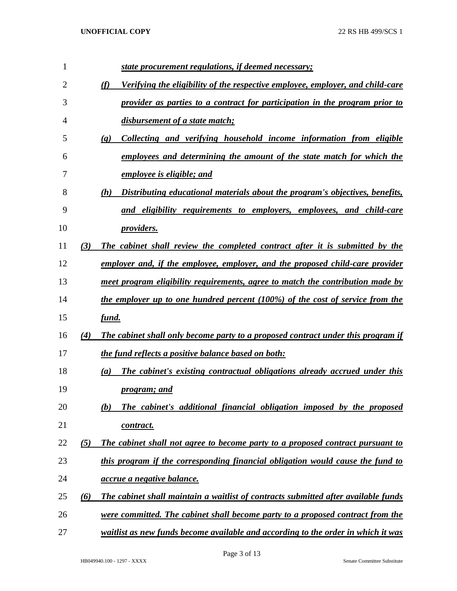| 1  |          | <u>state procurement regulations, if deemed necessary;</u>                                         |
|----|----------|----------------------------------------------------------------------------------------------------|
| 2  |          | (f)<br>Verifying the eligibility of the respective employee, employer, and child-care              |
| 3  |          | provider as parties to a contract for participation in the program prior to                        |
| 4  |          | disbursement of a state match;                                                                     |
| 5  |          | Collecting and verifying household income information from eligible<br>$\left( \mathbf{g} \right)$ |
| 6  |          | employees and determining the amount of the state match for which the                              |
| 7  |          | employee is eligible; and                                                                          |
| 8  |          | Distributing educational materials about the program's objectives, benefits,<br>(h)                |
| 9  |          | and eligibility requirements to employers, employees, and child-care                               |
| 10 |          | <i>providers.</i>                                                                                  |
| 11 | (3)      | The cabinet shall review the completed contract after it is submitted by the                       |
| 12 |          | employer and, if the employee, employer, and the proposed child-care provider                      |
| 13 |          | meet program eligibility requirements, agree to match the contribution made by                     |
| 14 |          | the employer up to one hundred percent (100%) of the cost of service from the                      |
| 15 |          | fund.                                                                                              |
| 16 | (4)      | <b>The cabinet shall only become party to a proposed contract under this program if</b>            |
| 17 |          | the fund reflects a positive balance based on both:                                                |
| 18 |          | The cabinet's existing contractual obligations already accrued under this<br>(a)                   |
| 19 |          | program; and                                                                                       |
| 20 |          | The cabinet's additional financial obligation imposed by the proposed<br>(b)                       |
| 21 |          | contract.                                                                                          |
| 22 | (5)      | The cabinet shall not agree to become party to a proposed contract pursuant to                     |
| 23 |          | this program if the corresponding financial obligation would cause the fund to                     |
| 24 |          | accrue a negative balance.                                                                         |
| 25 | $\omega$ | The cabinet shall maintain a waitlist of contracts submitted after available funds                 |
| 26 |          | <u>were committed. The cabinet shall become party to a proposed contract from the</u>              |
| 27 |          | waitlist as new funds become available and according to the order in which it was                  |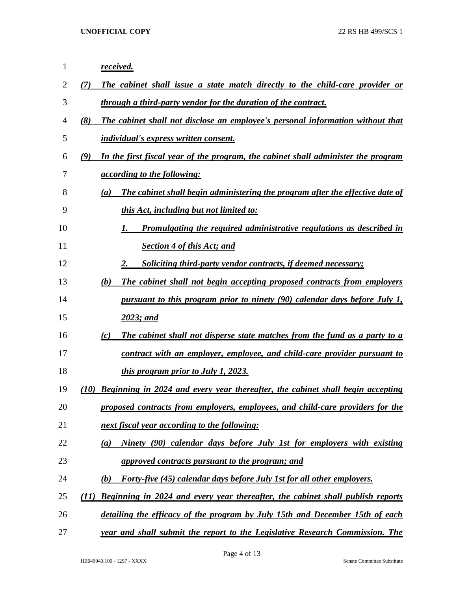| 1              | received.                                                                                |
|----------------|------------------------------------------------------------------------------------------|
| 2              | The cabinet shall issue a state match directly to the child-care provider or<br>(7)      |
| 3              | through a third-party vendor for the duration of the contract.                           |
| $\overline{4}$ | (8)<br>The cabinet shall not disclose an employee's personal information without that    |
| 5              | <i>individual's express written consent.</i>                                             |
| 6              | (9)<br>In the first fiscal year of the program, the cabinet shall administer the program |
| 7              | <i><u>according to the following:</u></i>                                                |
| 8              | The cabinet shall begin administering the program after the effective date of<br>(a)     |
| 9              | this Act, including but not limited to:                                                  |
| 10             | Promulgating the required administrative regulations as described in<br>1.               |
| 11             | <b>Section 4 of this Act; and</b>                                                        |
| 12             | 2.<br><b>Soliciting third-party vendor contracts, if deemed necessary;</b>               |
| 13             | (b)<br>The cabinet shall not begin accepting proposed contracts from employers           |
| 14             | <u>pursuant to this program prior to ninety (90) calendar days before July 1,</u>        |
| 15             | 2023; and                                                                                |
| 16             | The cabinet shall not disperse state matches from the fund as a party to a<br>(c)        |
| 17             | contract with an employer, employee, and child-care provider pursuant to                 |
| 18             | <i>this program prior to July 1, 2023.</i>                                               |
| 19             | Beginning in 2024 and every year thereafter, the cabinet shall begin accepting<br>(10)   |
| 20             | proposed contracts from employers, employees, and child-care providers for the           |
| 21             | next fiscal year according to the following:                                             |
| 22             | Ninety (90) calendar days before July 1st for employers with existing<br>(a)             |
| 23             | approved contracts pursuant to the program; and                                          |
| 24             | Forty-five (45) calendar days before July 1st for all other employers.<br>(b)            |
| 25             | Beginning in 2024 and every year thereafter, the cabinet shall publish reports<br>(11)   |
| 26             | detailing the efficacy of the program by July 15th and December 15th of each             |
| 27             | year and shall submit the report to the Legislative Research Commission. The             |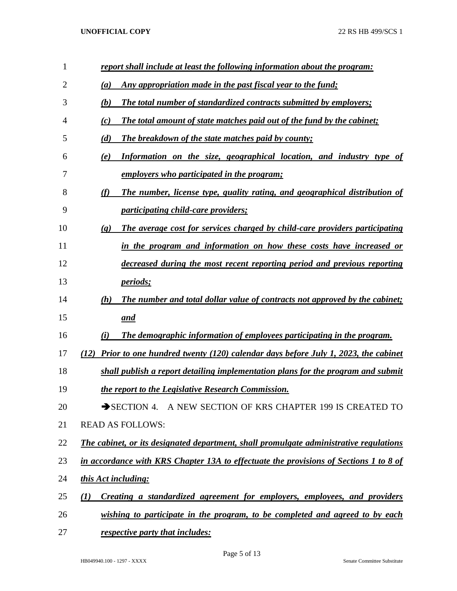| 1  | report shall include at least the following information about the program:                                 |
|----|------------------------------------------------------------------------------------------------------------|
| 2  | Any appropriation made in the past fiscal year to the fund;<br>(a)                                         |
| 3  | The total number of standardized contracts submitted by employers;<br>(b)                                  |
| 4  | The total amount of state matches paid out of the fund by the cabinet;<br>(c)                              |
| 5  | (d)<br>The breakdown of the state matches paid by county;                                                  |
| 6  | Information on the size, geographical location, and industry type of<br>(e)                                |
| 7  | <u>employers who participated in the program;</u>                                                          |
| 8  | (f)<br>The number, license type, quality rating, and geographical distribution of                          |
| 9  | <i>participating child-care providers;</i>                                                                 |
| 10 | The average cost for services charged by child-care providers participating<br>$\left( \mathbf{g} \right)$ |
| 11 | in the program and information on how these costs have increased or                                        |
| 12 | decreased during the most recent reporting period and previous reporting                                   |
| 13 | <i>periods;</i>                                                                                            |
| 14 | The number and total dollar value of contracts not approved by the cabinet;<br>(h)                         |
| 15 | and                                                                                                        |
| 16 | The demographic information of employees participating in the program.<br>(i)                              |
| 17 | Prior to one hundred twenty (120) calendar days before July 1, 2023, the cabinet<br>(12)                   |
| 18 | shall publish a report detailing implementation plans for the program and submit                           |
| 19 | the report to the Legislative Research Commission.                                                         |
| 20 | SECTION 4. A NEW SECTION OF KRS CHAPTER 199 IS CREATED TO                                                  |
| 21 | <b>READ AS FOLLOWS:</b>                                                                                    |
| 22 | The cabinet, or its designated department, shall promulgate administrative regulations                     |
| 23 | in accordance with KRS Chapter 13A to effectuate the provisions of Sections 1 to 8 of                      |
| 24 | this Act including:                                                                                        |
| 25 | Creating a standardized agreement for employers, employees, and providers<br>(I)                           |
| 26 | wishing to participate in the program, to be completed and agreed to by each                               |
| 27 | respective party that includes:                                                                            |

HB049940.100 - 1297 - XXXX Senate Committee Substitute

Page 5 of 13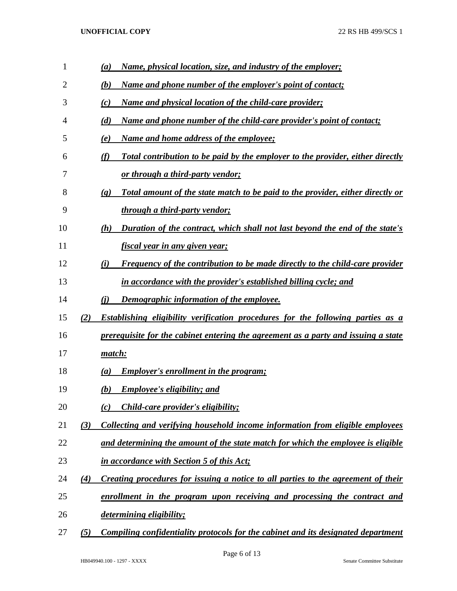| 1              |     | Name, physical location, size, and industry of the employer;<br>(a)                                                  |
|----------------|-----|----------------------------------------------------------------------------------------------------------------------|
| $\overline{2}$ |     | (b)<br><u>Name and phone number of the employer's point of contact;</u>                                              |
| 3              |     | <u>Name and physical location of the child-care provider;</u><br>(c)                                                 |
| 4              |     | <u>Name and phone number of the child-care provider's point of contact;</u><br>(d)                                   |
| 5              |     | Name and home address of the employee;<br>(e)                                                                        |
| 6              |     | (f)<br>Total contribution to be paid by the employer to the provider, either directly                                |
| 7              |     | <u>or through a third-party vendor;</u>                                                                              |
| 8              |     | <u>Total amount of the state match to be paid to the provider, either directly or</u><br>$\left( \mathbf{g} \right)$ |
| 9              |     | <u>through a third-party vendor;</u>                                                                                 |
| 10             |     | Duration of the contract, which shall not last beyond the end of the state's<br>(h)                                  |
| 11             |     | <u>fiscal year in any given year;</u>                                                                                |
| 12             |     | <b>Frequency of the contribution to be made directly to the child-care provider</b><br>(i)                           |
| 13             |     | in accordance with the provider's established billing cycle; and                                                     |
| 14             |     | (i)<br><u>Demographic information of the employee.</u>                                                               |
| 15             | (2) | <b>Establishing eligibility verification procedures for the following parties as a</b>                               |
| 16             |     | prerequisite for the cabinet entering the agreement as a party and issuing a state                                   |
| 17             |     | match:                                                                                                               |
| 18             |     | <b>Employer's enrollment in the program;</b><br>$\left(a\right)$                                                     |
| 19             |     | <b>Employee's eligibility; and</b><br>(b)                                                                            |
| 20             |     | <i>Child-care provider's eligibility;</i><br>(c)                                                                     |
| 21             | (3) | Collecting and verifying household income information from eligible employees                                        |
| 22             |     | and determining the amount of the state match for which the employee is eligible                                     |
| 23             |     | in accordance with Section 5 of this Act;                                                                            |
| 24             | (4) | Creating procedures for issuing a notice to all parties to the agreement of their                                    |
| 25             |     | enrollment in the program upon receiving and processing the contract and                                             |
| 26             |     | determining eligibility;                                                                                             |
| 27             | (5) | <u>Compiling confidentiality protocols for the cabinet and its designated department</u>                             |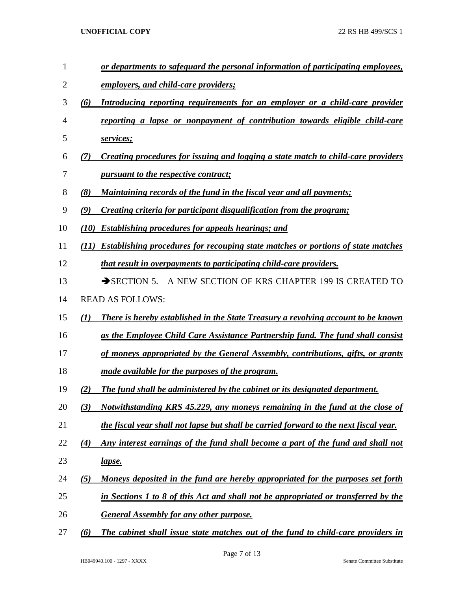- *or departments to safeguard the personal information of participating employees,*
- *employers, and child-care providers;*
- *(6) Introducing reporting requirements for an employer or a child-care provider*
- *reporting a lapse or nonpayment of contribution towards eligible child-care services;*
- *(7) Creating procedures for issuing and logging a state match to child-care providers pursuant to the respective contract;*
- *(8) Maintaining records of the fund in the fiscal year and all payments;*
- *(9) Creating criteria for participant disqualification from the program;*
- *(10) Establishing procedures for appeals hearings; and*
- *(11) Establishing procedures for recouping state matches or portions of state matches*
- *that result in overpayments to participating child-care providers.*
- 13 SECTION 5. A NEW SECTION OF KRS CHAPTER 199 IS CREATED TO
- READ AS FOLLOWS:
- *(1) There is hereby established in the State Treasury a revolving account to be known*
- *as the Employee Child Care Assistance Partnership fund. The fund shall consist*
- *of moneys appropriated by the General Assembly, contributions, gifts, or grants*
- *made available for the purposes of the program.*
- *(2) The fund shall be administered by the cabinet or its designated department.*
- *(3) Notwithstanding KRS 45.229, any moneys remaining in the fund at the close of the fiscal year shall not lapse but shall be carried forward to the next fiscal year.*
- *(4) Any interest earnings of the fund shall become a part of the fund and shall not lapse.*
- *(5) Moneys deposited in the fund are hereby appropriated for the purposes set forth*
- *in Sections 1 to 8 of this Act and shall not be appropriated or transferred by the*
- *General Assembly for any other purpose.*
- *(6) The cabinet shall issue state matches out of the fund to child-care providers in*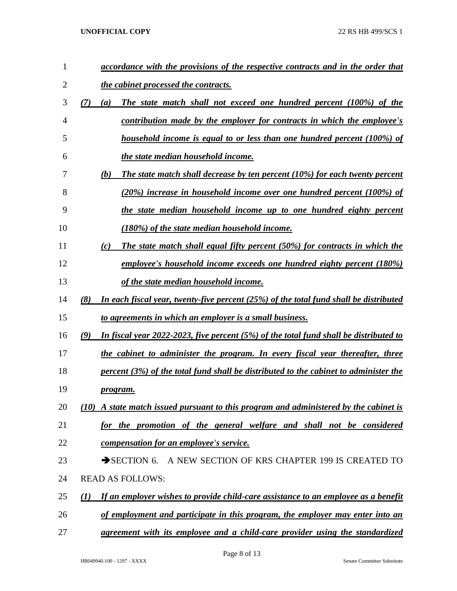| 1  | accordance with the provisions of the respective contracts and in the order that                |
|----|-------------------------------------------------------------------------------------------------|
| 2  | the cabinet processed the contracts.                                                            |
| 3  | <b>The state match shall not exceed one hundred percent (100%) of the</b><br>(7)<br>(a)         |
| 4  | contribution made by the employer for contracts in which the employee's                         |
| 5  | household income is equal to or less than one hundred percent (100%) of                         |
| 6  | the state median household income.                                                              |
| 7  | (b)<br>The state match shall decrease by ten percent $(10\%)$ for each twenty percent           |
| 8  | (20%) increase in household income over one hundred percent (100%) of                           |
| 9  | the state median household income up to one hundred eighty percent                              |
| 10 | (180%) of the state median household income.                                                    |
| 11 | The state match shall equal fifty percent (50%) for contracts in which the<br>(c)               |
| 12 | employee's household income exceeds one hundred eighty percent (180%)                           |
| 13 | of the state median household income.                                                           |
| 14 | (8)<br>In each fiscal year, twenty-five percent (25%) of the total fund shall be distributed    |
| 15 | to agreements in which an employer is a small business.                                         |
| 16 | (9)<br>In fiscal year $2022-2023$ , five percent (5%) of the total fund shall be distributed to |
| 17 | the cabinet to administer the program. In every fiscal year thereafter, three                   |
| 18 | percent $(3%)$ of the total fund shall be distributed to the cabinet to administer the          |
| 19 | <u>program.</u>                                                                                 |
| 20 | (10) A state match issued pursuant to this program and administered by the cabinet is           |
| 21 | for the promotion of the general welfare and shall not be considered                            |
| 22 | compensation for an employee's service.                                                         |
| 23 | SECTION 6. A NEW SECTION OF KRS CHAPTER 199 IS CREATED TO                                       |
| 24 | <b>READ AS FOLLOWS:</b>                                                                         |
| 25 | If an employer wishes to provide child-care assistance to an employee as a benefit<br>$\bf(1)$  |
| 26 | of employment and participate in this program, the employer may enter into an                   |
| 27 | agreement with its employee and a child-care provider using the standardized                    |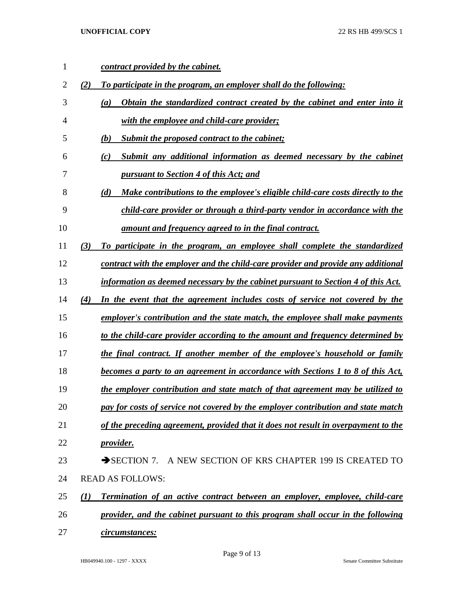| 1  | contract provided by the cabinet.                                                         |  |
|----|-------------------------------------------------------------------------------------------|--|
| 2  | To participate in the program, an employer shall do the following:<br>(2)                 |  |
| 3  | Obtain the standardized contract created by the cabinet and enter into it<br>(a)          |  |
| 4  | with the employee and child-care provider;                                                |  |
| 5  | Submit the proposed contract to the cabinet;<br>(b)                                       |  |
| 6  | Submit any additional information as deemed necessary by the cabinet<br>(c)               |  |
| 7  | pursuant to Section 4 of this Act; and                                                    |  |
| 8  | Make contributions to the employee's eligible child-care costs directly to the<br>(d)     |  |
| 9  | child-care provider or through a third-party vendor in accordance with the                |  |
| 10 | amount and frequency agreed to in the final contract.                                     |  |
| 11 | To participate in the program, an employee shall complete the standardized<br>(3)         |  |
| 12 | contract with the employer and the child-care provider and provide any additional         |  |
| 13 | information as deemed necessary by the cabinet pursuant to Section 4 of this Act.         |  |
| 14 | In the event that the agreement includes costs of service not covered by the<br>(4)       |  |
| 15 | employer's contribution and the state match, the employee shall make payments             |  |
| 16 | to the child-care provider according to the amount and frequency determined by            |  |
| 17 | the final contract. If another member of the employee's household or family               |  |
| 18 | becomes a party to an agreement in accordance with Sections 1 to 8 of this Act,           |  |
| 19 | the employer contribution and state match of that agreement may be utilized to            |  |
| 20 | pay for costs of service not covered by the employer contribution and state match         |  |
| 21 | of the preceding agreement, provided that it does not result in overpayment to the        |  |
| 22 | <u>provider.</u>                                                                          |  |
| 23 | $\rightarrow$ SECTION 7.<br>A NEW SECTION OF KRS CHAPTER 199 IS CREATED TO                |  |
| 24 | <b>READ AS FOLLOWS:</b>                                                                   |  |
| 25 | <b>Termination of an active contract between an employer, employee, child-care</b><br>(I) |  |
| 26 | provider, and the cabinet pursuant to this program shall occur in the following           |  |
| 27 | circumstances:                                                                            |  |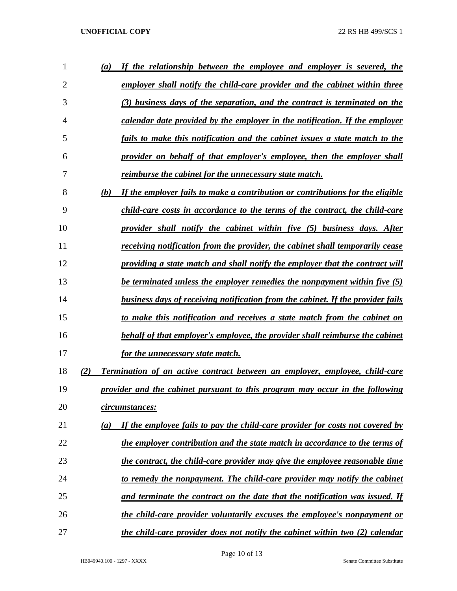| 1              | (a) | If the relationship between the employee and employer is severed, the              |
|----------------|-----|------------------------------------------------------------------------------------|
| $\overline{2}$ |     | employer shall notify the child-care provider and the cabinet within three         |
| 3              |     | (3) business days of the separation, and the contract is terminated on the         |
| 4              |     | calendar date provided by the employer in the notification. If the employer        |
| 5              |     | fails to make this notification and the cabinet issues a state match to the        |
| 6              |     | provider on behalf of that employer's employee, then the employer shall            |
| 7              |     | reimburse the cabinet for the unnecessary state match.                             |
| 8              | (b) | If the employer fails to make a contribution or contributions for the eligible     |
| 9              |     | child-care costs in accordance to the terms of the contract, the child-care        |
| 10             |     | provider shall notify the cabinet within five (5) business days. After             |
| 11             |     | receiving notification from the provider, the cabinet shall temporarily cease      |
| 12             |     | providing a state match and shall notify the employer that the contract will       |
| 13             |     | be terminated unless the employer remedies the nonpayment within five (5)          |
| 14             |     | business days of receiving notification from the cabinet. If the provider fails    |
| 15             |     | to make this notification and receives a state match from the cabinet on           |
| 16             |     | behalf of that employer's employee, the provider shall reimburse the cabinet       |
| 17             |     | for the unnecessary state match.                                                   |
| 18             | (2) | <b>Termination of an active contract between an employer, employee, child-care</b> |
| 19             |     | provider and the cabinet pursuant to this program may occur in the following       |
| 20             |     | <u>circumstances:</u>                                                              |
| 21             | (a) | If the employee fails to pay the child-care provider for costs not covered by      |
| 22             |     | the employer contribution and the state match in accordance to the terms of        |
| 23             |     | the contract, the child-care provider may give the employee reasonable time        |
| 24             |     | to remedy the nonpayment. The child-care provider may notify the cabinet           |
| 25             |     | and terminate the contract on the date that the notification was issued. If        |
| 26             |     | the child-care provider voluntarily excuses the employee's nonpayment or           |
| 27             |     | the child-care provider does not notify the cabinet within two (2) calendar        |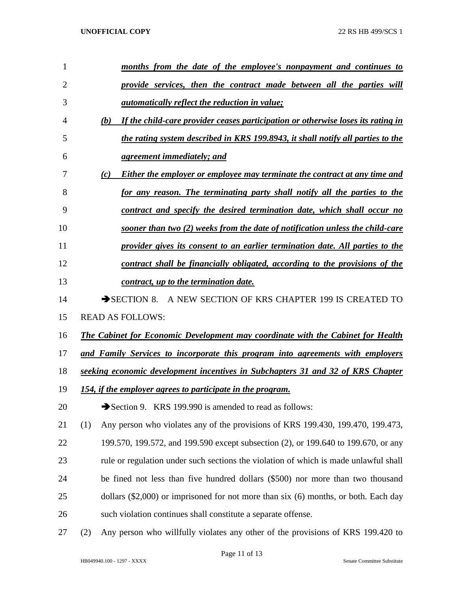| 1              | months from the date of the employee's nonpayment and continues to                      |
|----------------|-----------------------------------------------------------------------------------------|
| $\overline{2}$ | provide services, then the contract made between all the parties will                   |
| 3              | <i>automatically reflect the reduction in value;</i>                                    |
| 4              | If the child-care provider ceases participation or otherwise loses its rating in<br>(b) |
| 5              | the rating system described in KRS 199.8943, it shall notify all parties to the         |
| 6              | <u>agreement immediately; and</u>                                                       |
| 7              | (c)<br>Either the employer or employee may terminate the contract at any time and       |
| 8              | for any reason. The terminating party shall notify all the parties to the               |
| 9              | contract and specify the desired termination date, which shall occur no                 |
| 10             | sooner than two (2) weeks from the date of notification unless the child-care           |
| 11             | provider gives its consent to an earlier termination date. All parties to the           |
| 12             | contract shall be financially obligated, according to the provisions of the             |
| 13             | contract, up to the termination date.                                                   |
| 14             | $\rightarrow$ SECTION 8.<br>A NEW SECTION OF KRS CHAPTER 199 IS CREATED TO              |
| 15             | <b>READ AS FOLLOWS:</b>                                                                 |
| 16             | The Cabinet for Economic Development may coordinate with the Cabinet for Health         |
| 17             | and Family Services to incorporate this program into agreements with employers          |
| 18             | seeking economic development incentives in Subchapters 31 and 32 of KRS Chapter         |
| 19             | 154, if the employer agrees to participate in the program.                              |
| 20             | Section 9. KRS 199.990 is amended to read as follows:                                   |
| 21             | (1)<br>Any person who violates any of the provisions of KRS 199.430, 199.470, 199.473,  |
| 22             | 199.570, 199.572, and 199.590 except subsection (2), or 199.640 to 199.670, or any      |
| 23             | rule or regulation under such sections the violation of which is made unlawful shall    |
| 24             | be fined not less than five hundred dollars (\$500) nor more than two thousand          |
| 25             | dollars $(\$2,000)$ or imprisoned for not more than six $(6)$ months, or both. Each day |
| 26             | such violation continues shall constitute a separate offense.                           |
|                |                                                                                         |

(2) Any person who willfully violates any other of the provisions of KRS 199.420 to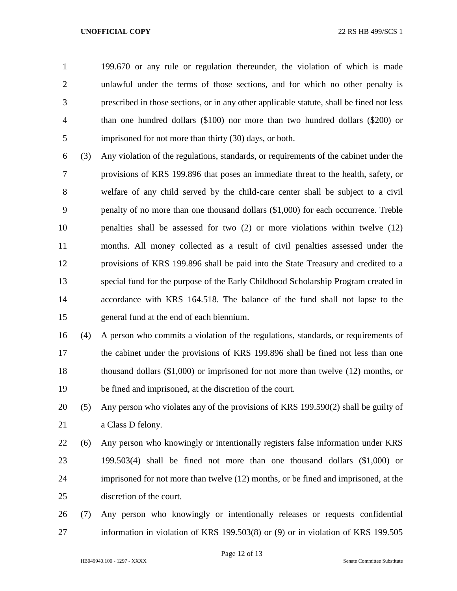199.670 or any rule or regulation thereunder, the violation of which is made unlawful under the terms of those sections, and for which no other penalty is prescribed in those sections, or in any other applicable statute, shall be fined not less than one hundred dollars (\$100) nor more than two hundred dollars (\$200) or imprisoned for not more than thirty (30) days, or both.

 (3) Any violation of the regulations, standards, or requirements of the cabinet under the provisions of KRS 199.896 that poses an immediate threat to the health, safety, or welfare of any child served by the child-care center shall be subject to a civil penalty of no more than one thousand dollars (\$1,000) for each occurrence. Treble penalties shall be assessed for two (2) or more violations within twelve (12) months. All money collected as a result of civil penalties assessed under the provisions of KRS 199.896 shall be paid into the State Treasury and credited to a special fund for the purpose of the Early Childhood Scholarship Program created in accordance with KRS 164.518. The balance of the fund shall not lapse to the general fund at the end of each biennium.

 (4) A person who commits a violation of the regulations, standards, or requirements of the cabinet under the provisions of KRS 199.896 shall be fined not less than one thousand dollars (\$1,000) or imprisoned for not more than twelve (12) months, or be fined and imprisoned, at the discretion of the court.

 (5) Any person who violates any of the provisions of KRS 199.590(2) shall be guilty of a Class D felony.

 (6) Any person who knowingly or intentionally registers false information under KRS 199.503(4) shall be fined not more than one thousand dollars (\$1,000) or imprisoned for not more than twelve (12) months, or be fined and imprisoned, at the discretion of the court.

 (7) Any person who knowingly or intentionally releases or requests confidential information in violation of KRS 199.503(8) or (9) or in violation of KRS 199.505

Page 12 of 13